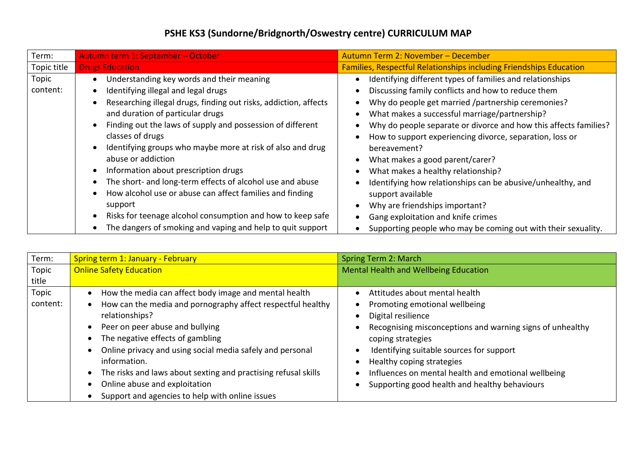## **PSHE KS3 (Sundorne/Bridgnorth/Oswestry centre) CURRICULUM MAP**

| Term:             | Autumn term 1: September - October                                                                                                                                                                                                                                                                                                                                                                                                                                                                                                                                                                                                                                                               | Autumn Term 2: November - December                                                                                                                                                                                                                                                                                                                                                                                                                                                                                                                                                                                                                                           |
|-------------------|--------------------------------------------------------------------------------------------------------------------------------------------------------------------------------------------------------------------------------------------------------------------------------------------------------------------------------------------------------------------------------------------------------------------------------------------------------------------------------------------------------------------------------------------------------------------------------------------------------------------------------------------------------------------------------------------------|------------------------------------------------------------------------------------------------------------------------------------------------------------------------------------------------------------------------------------------------------------------------------------------------------------------------------------------------------------------------------------------------------------------------------------------------------------------------------------------------------------------------------------------------------------------------------------------------------------------------------------------------------------------------------|
| Topic title       | <b>Drugs Education</b>                                                                                                                                                                                                                                                                                                                                                                                                                                                                                                                                                                                                                                                                           | <b>Families, Respectful Relationships including Friendships Education</b>                                                                                                                                                                                                                                                                                                                                                                                                                                                                                                                                                                                                    |
| Topic<br>content: | Understanding key words and their meaning<br>Identifying illegal and legal drugs<br>Researching illegal drugs, finding out risks, addiction, affects<br>and duration of particular drugs<br>Finding out the laws of supply and possession of different<br>$\bullet$<br>classes of drugs<br>Identifying groups who maybe more at risk of also and drug<br>$\bullet$<br>abuse or addiction<br>Information about prescription drugs<br>The short- and long-term effects of alcohol use and abuse<br>How alcohol use or abuse can affect families and finding<br>support<br>Risks for teenage alcohol consumption and how to keep safe<br>The dangers of smoking and vaping and help to quit support | Identifying different types of families and relationships<br>Discussing family conflicts and how to reduce them<br>Why do people get married /partnership ceremonies?<br>What makes a successful marriage/partnership?<br>Why do people separate or divorce and how this affects families?<br>How to support experiencing divorce, separation, loss or<br>bereavement?<br>What makes a good parent/carer?<br>What makes a healthy relationship?<br>Identifying how relationships can be abusive/unhealthy, and<br>support available<br>Why are friendships important?<br>Gang exploitation and knife crimes<br>Supporting people who may be coming out with their sexuality. |

| Term:    | <b>Spring term 1: January - February</b>                       | Spring Term 2: March                                      |
|----------|----------------------------------------------------------------|-----------------------------------------------------------|
| Topic    | <b>Online Safety Education</b>                                 | Mental Health and Wellbeing Education                     |
| title    |                                                                |                                                           |
| Topic    | How the media can affect body image and mental health          | Attitudes about mental health                             |
| content: | How can the media and pornography affect respectful healthy    | Promoting emotional wellbeing                             |
|          | relationships?                                                 | Digital resilience                                        |
|          | Peer on peer abuse and bullying                                | Recognising misconceptions and warning signs of unhealthy |
|          | The negative effects of gambling                               | coping strategies                                         |
|          | Online privacy and using social media safely and personal      | Identifying suitable sources for support                  |
|          | information.                                                   | Healthy coping strategies                                 |
|          | The risks and laws about sexting and practising refusal skills | Influences on mental health and emotional wellbeing       |
|          | Online abuse and exploitation                                  | Supporting good health and healthy behaviours             |
|          | Support and agencies to help with online issues                |                                                           |